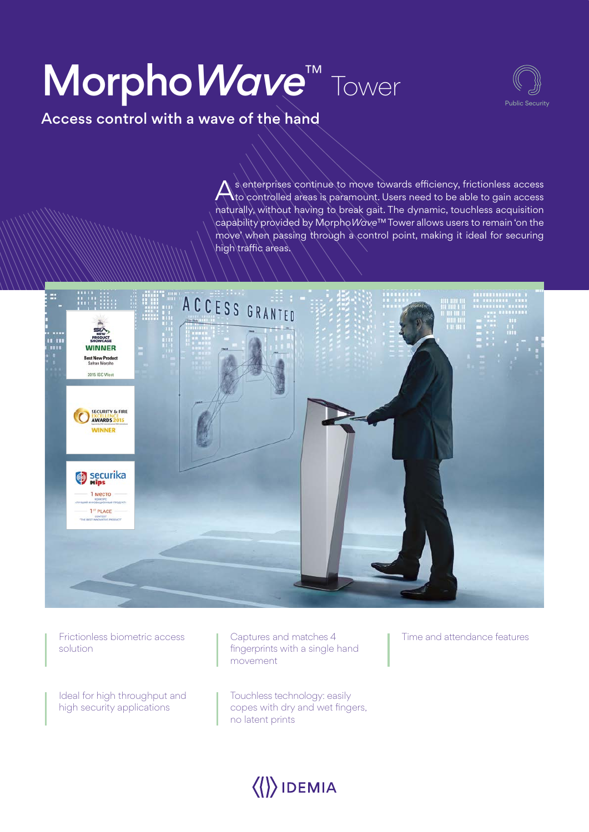# Morpho*Wave*™ *Tower*



Access control with a wave of the hand

A s enterprises continue to move towards efficiency, frictionless access<br>A to controlled areas is paramount. Users need to be able to gain access naturally, without having to break gait. The dynamic, touchless acquisition capability provided by Morpho*Wave*™ Tower allows users to remain 'on the move' when passing through a control point, making it ideal for securing high traffic areas.



*Frictionless biometric access solution*

*Ideal for high throughput and high security applications*

*Captures and matches 4 fingerprints with a single hand movement*

*Touchless technology: easily copes with dry and wet fingers, no latent prints*

*Time and attendance features*